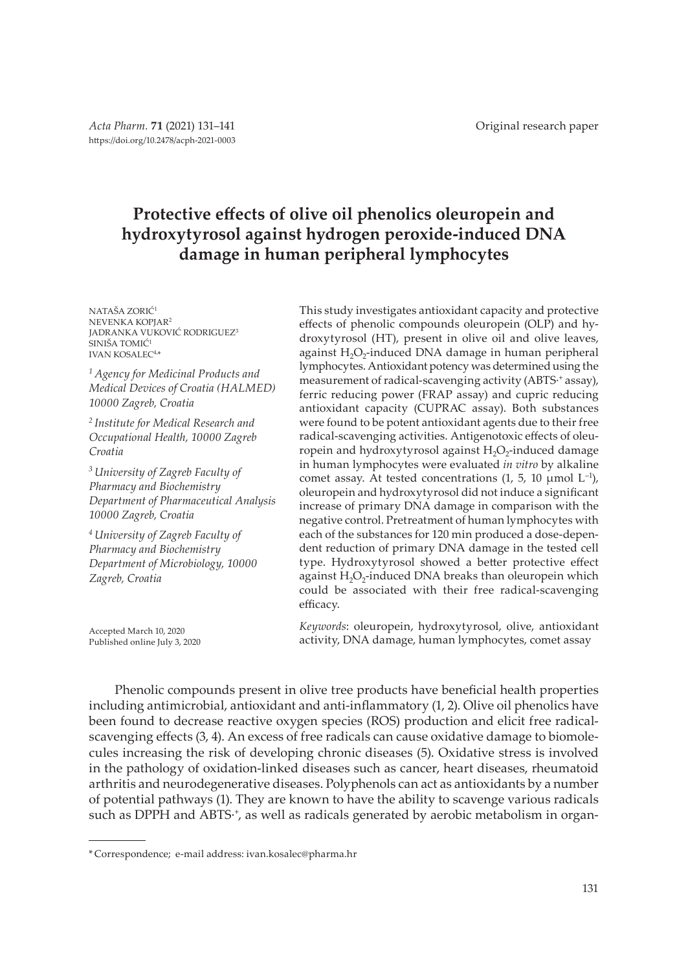# **Protective effects of olive oil phenolics oleuropein and hydroxytyrosol against hydrogen peroxide-induced DNA damage in human peripheral lymphocytes**

NATAŠA ZORIĆ<sup>1</sup> NEVENKA KOPJAR<sup>2</sup> JADRANKA VUKOVIĆ RODRIGUEZ<sup>3</sup> SINIŠA TOMIĆ<sup>1</sup> IVAN KOSALEC4,\*

*1 Agency for Medicinal Products and Medical Devices of Croatia (HALMED) 10000 Zagreb, Croatia*

*2 Institute for Medical Research and Occupational Health, 10000 Zagreb Croatia*

*3 University of Zagreb Faculty of Pharmacy and Biochemistry Department of Pharmaceutical Analysis 10000 Zagreb, Croatia*

*4 University of Zagreb Faculty of Pharmacy and Biochemistry Department of Microbiology, 10000 Zagreb, Croatia*

Accepted March 10, 2020 Published online July 3, 2020 This study investigates antioxidant capacity and protective effects of phenolic compounds oleuropein (OLP) and hydroxytyrosol (HT), present in olive oil and olive leaves, against  $H_2O_2$ -induced DNA damage in human peripheral lymphocytes. Antioxidant potency was determined using the measurement of radical-scavenging activity (ABTS⋅+ assay), ferric reducing power (FRAP assay) and cupric reducing antioxidant capacity (CUPRAC assay). Both substances were found to be potent antioxidant agents due to their free radical-scavenging activities. Antigenotoxic effects of oleuropein and hydroxytyrosol against  $H_2O_2$ -induced damage in human lymphocytes were evaluated *in vitro* by alkaline comet assay. At tested concentrations  $(1, 5, 10 \text{ \mu mol } L^{-1})$ , oleuropein and hydroxytyrosol did not induce a significant increase of primary DNA damage in comparison with the negative control. Pretreatment of human lymphocytes with each of the substances for 120 min produced a dose-dependent reduction of primary DNA damage in the tested cell type. Hydroxytyrosol showed a better protective effect against  $H_2O_2$ -induced DNA breaks than oleuropein which could be associated with their free radical-scavenging efficacy.

*Keywords*: oleuropein, hydroxytyrosol, olive, antioxidant activity, DNA damage, human lymphocytes, comet assay

Phenolic compounds present in olive tree products have beneficial health properties including antimicrobial, antioxidant and anti-inflammatory (1, 2). Olive oil phenolics have been found to decrease reactive oxygen species (ROS) production and elicit free radicalscavenging effects (3, 4). An excess of free radicals can cause oxidative damage to biomolecules increasing the risk of developing chronic diseases (5). Oxidative stress is involved in the pathology of oxidation-linked diseases such as cancer, heart diseases, rheumatoid arthritis and neurodegenerative diseases. Polyphenols can act as antioxidants by a number of potential pathways (1). They are known to have the ability to scavenge various radicals such as DPPH and ABTS∙<sup>+</sup>, as well as radicals generated by aerobic metabolism in organ-

<sup>\*</sup> Correspondence; e-mail address: ivan.kosalec@pharma.hr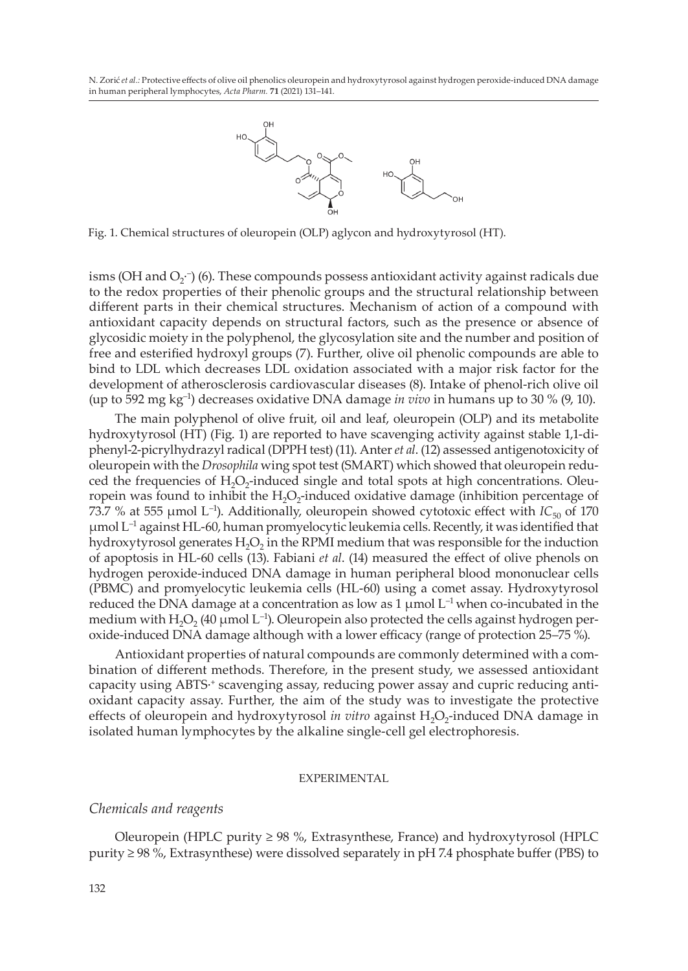

Fig. 1. Chemical structures of oleuropein (OLP) aglycon and hydroxytyrosol (HT).

isms (OH and O<sub>2</sub>∙) (6). These compounds possess antioxidant activity against radicals due to the redox properties of their phenolic groups and the structural relationship between different parts in their chemical structures. Mechanism of action of a compound with antioxidant capacity depends on structural factors, such as the presence or absence of glycosidic moiety in the polyphenol, the glycosylation site and the number and position of free and esterified hydroxyl groups (7). Further, olive oil phenolic compounds are able to bind to LDL which decreases LDL oxidation associated with a major risk factor for the development of atherosclerosis cardiovascular diseases (8). Intake of phenol-rich olive oil (up to 592 mg kg–1) decreases oxidative DNA damage *in vivo* in humans up to 30 % (9, 10).

The main polyphenol of olive fruit, oil and leaf, oleuropein (OLP) and its metabolite hydroxytyrosol (HT) (Fig. 1) are reported to have scavenging activity against stable 1,1-diphenyl-2-picrylhydrazyl radical (DPPH test) (11). Anter *et al*. (12) assessed antigenotoxicity of oleuropein with the *Drosophila* wing spot test (SMART) which showed that oleuropein reduced the frequencies of  $H_2O_2$ -induced single and total spots at high concentrations. Oleuropein was found to inhibit the  $H_2O_2$ -induced oxidative damage (inhibition percentage of 73.7 % at 555 µmol L<sup>-1</sup>). Additionally, oleuropein showed cytotoxic effect with  $IC_{50}$  of 170  $\mu$ mol L<sup>-1</sup> against HL-60, human promyelocytic leukemia cells. Recently, it was identified that hydroxytyrosol generates  $H_2O_2$  in the RPMI medium that was responsible for the induction of apoptosis in HL-60 cells (13). Fabiani *et al*. (14) measured the effect of olive phenols on hydrogen peroxide-induced DNA damage in human peripheral blood mononuclear cells (PBMC) and promyelocytic leukemia cells (HL-60) using a comet assay. Hydroxytyrosol reduced the DNA damage at a concentration as low as 1  $\mu$ mol L<sup>-1</sup> when co-incubated in the medium with H<sub>2</sub>O<sub>2</sub> (40 µmol L<sup>-1</sup>). Oleuropein also protected the cells against hydrogen peroxide-induced DNA damage although with a lower efficacy (range of protection 25–75 %).

Antioxidant properties of natural compounds are commonly determined with a combination of different methods. Therefore, in the present study, we assessed antioxidant capacity using ABTS∙<sup>+</sup> scavenging assay, reducing power assay and cupric reducing antioxidant capacity assay. Further, the aim of the study was to investigate the protective effects of oleuropein and hydroxytyrosol *in vitro* against H<sub>2</sub>O<sub>2</sub>-induced DNA damage in isolated human lymphocytes by the alkaline single-cell gel electrophoresis.

### EXPERIMENTAL

### *Chemicals and reagents*

Oleuropein (HPLC purity  $\geq$  98 %, Extrasynthese, France) and hydroxytyrosol (HPLC purity ≥ 98 %, Extrasynthese) were dissolved separately in pH 7.4 phosphate buffer (PBS) to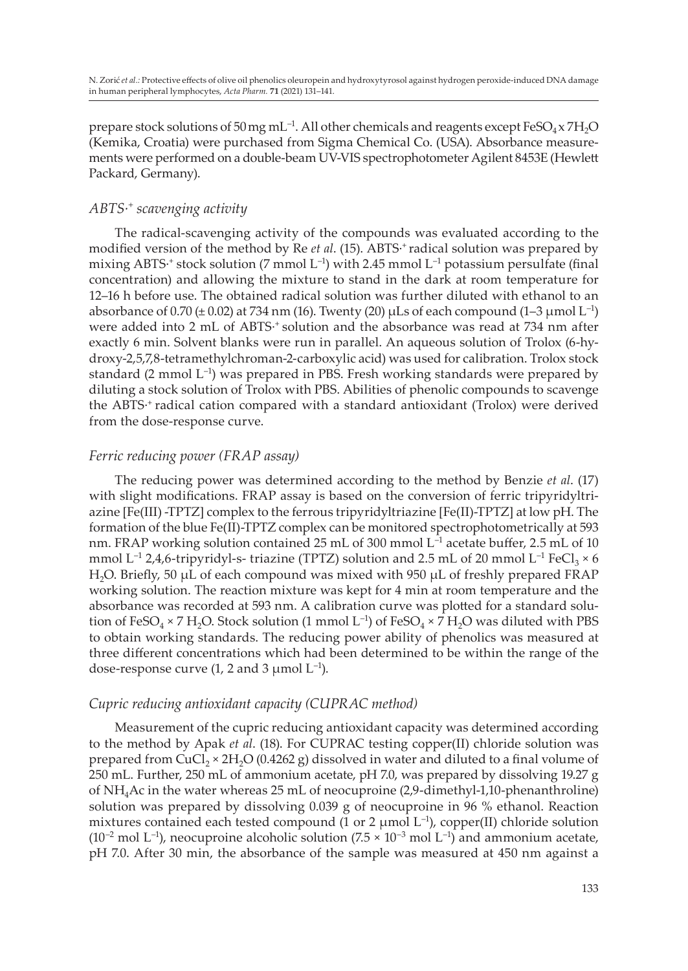prepare stock solutions of 50 mg mL<sup>-1</sup>. All other chemicals and reagents except FeSO<sub>4</sub> x 7H<sub>2</sub>O (Kemika, Croatia) were purchased from Sigma Chemical Co. (USA). Absorbance measurements were performed on a double-beam UV-VIS spectrophotometer Agilent 8453E (Hewlett Packard, Germany).

# *ABTS∙+ scavenging activity*

The radical-scavenging activity of the compounds was evaluated according to the modified version of the method by Re *et al.* (15). ABTS<sup>*∗*+</sup> radical solution was prepared by mixing ABTS∙<sup>+</sup> stock solution (7 mmol L<sup>-1</sup>) with 2.45 mmol L<sup>-1</sup> potassium persulfate (final concentration) and allowing the mixture to stand in the dark at room temperature for 12–16 h before use. The obtained radical solution was further diluted with ethanol to an absorbance of  $0.70 \pm 0.02$ ) at 734 nm (16). Twenty (20)  $\mu$ Ls of each compound (1–3  $\mu$ mol L<sup>-1</sup>) were added into 2 mL of ABTS∙<sup>+</sup> solution and the absorbance was read at 734 nm after exactly 6 min. Solvent blanks were run in parallel. An aqueous solution of Trolox (6-hydroxy-2,5,7,8-tetramethylchroman-2-carboxylic acid) was used for calibration. Trolox stock standard (2 mmol  $L^{-1}$ ) was prepared in PBS. Fresh working standards were prepared by diluting a stock solution of Trolox with PBS. Abilities of phenolic compounds to scavenge the ABTS<sup>∙+</sup> radical cation compared with a standard antioxidant (Trolox) were derived from the dose-response curve.

## *Ferric reducing power (FRAP assay)*

The reducing power was determined according to the method by Benzie *et al*. (17) with slight modifications. FRAP assay is based on the conversion of ferric tripyridyltriazine [Fe(III) -TPTZ] complex to the ferrous tripyridyltriazine [Fe(II)-TPTZ] at low pH. The formation of the blue Fe(II)-TPTZ complex can be monitored spectrophotometrically at 593 nm. FRAP working solution contained 25 mL of 300 mmol  $L^{-1}$  acetate buffer, 2.5 mL of 10 mmol L<sup>-1</sup> 2,4,6-tripyridyl-s- triazine (TPTZ) solution and 2.5 mL of 20 mmol L<sup>-1</sup> FeCl<sub>3</sub>  $\times$  6 H2O. Briefly, 50 μL of each compound was mixed with 950 μL of freshly prepared FRAP working solution. The reaction mixture was kept for 4 min at room temperature and the absorbance was recorded at 593 nm. A calibration curve was plotted for a standard solution of FeSO<sub>4</sub> × 7 H<sub>2</sub>O. Stock solution (1 mmol L<sup>-1</sup>) of FeSO<sub>4</sub> × 7 H<sub>2</sub>O was diluted with PBS to obtain working standards. The reducing power ability of phenolics was measured at three different concentrations which had been determined to be within the range of the dose-response curve  $(1, 2 \text{ and } 3 \mu \text{mol } L^{-1})$ .

### *Cupric reducing antioxidant capacity (CUPRAC method)*

Measurement of the cupric reducing antioxidant capacity was determined according to the method by Apak *et al*. (18). For CUPRAC testing copper(II) chloride solution was prepared from CuCl<sub>2</sub> × 2H<sub>2</sub>O (0.4262 g) dissolved in water and diluted to a final volume of 250 mL. Further, 250 mL of ammonium acetate, pH 7.0, was prepared by dissolving 19.27 g of NH4Ac in the water whereas 25 mL of neocuproine (2,9-dimethyl-1,10-phenanthroline) solution was prepared by dissolving 0.039 g of neocuproine in 96 % ethanol. Reaction mixtures contained each tested compound (1 or 2  $\mu$ mol L<sup>-1</sup>), copper(II) chloride solution  $(10^{-2} \text{ mol L}^{-1})$ , neocuproine alcoholic solution  $(7.5 \times 10^{-3} \text{ mol L}^{-1})$  and ammonium acetate, pH 7.0. After 30 min, the absorbance of the sample was measured at 450 nm against a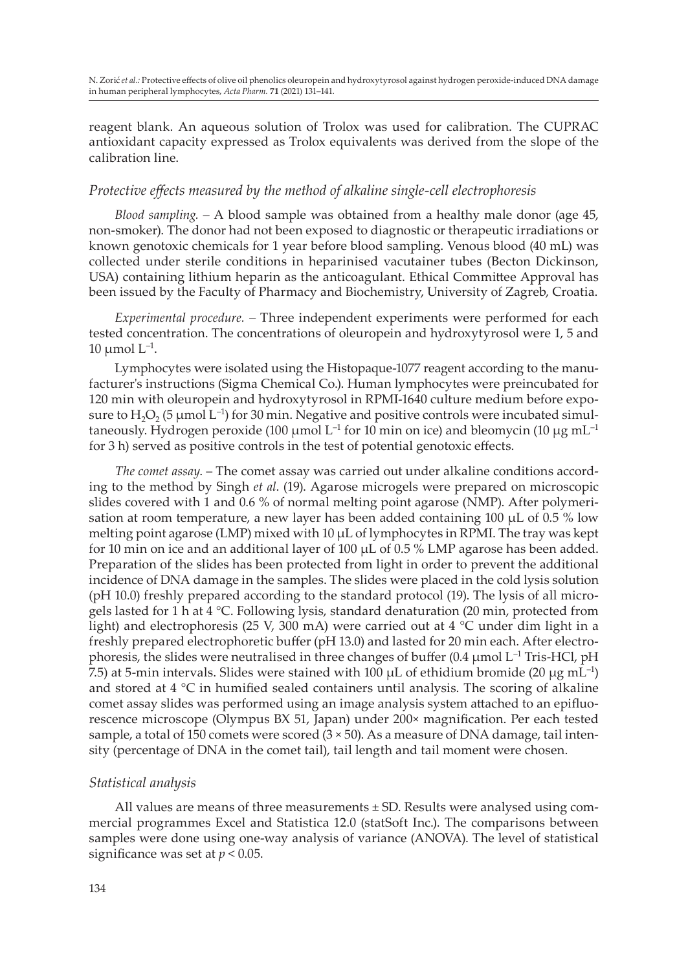reagent blank. An aqueous solution of Trolox was used for calibration. The CUPRAC antioxidant capacity expressed as Trolox equivalents was derived from the slope of the calibration line.

### *Protective effects measured by the method of alkaline single-cell electrophoresis*

*Blood sampling. –* A blood sample was obtained from a healthy male donor (age 45, non-smoker). The donor had not been exposed to diagnostic or therapeutic irradiations or known genotoxic chemicals for 1 year before blood sampling. Venous blood (40 mL) was collected under sterile conditions in heparinised vacutainer tubes (Becton Dickinson, USA) containing lithium heparin as the anticoagulant. Ethical Committee Approval has been issued by the Faculty of Pharmacy and Biochemistry, University of Zagreb, Croatia.

*Experimental procedure. –* Three independent experiments were performed for each tested concentration. The concentrations of oleuropein and hydroxytyrosol were 1, 5 and 10  $\mu$ mol  $L^{-1}$ .

Lymphocytes were isolated using the Histopaque-1077 reagent according to the manufacturer's instructions (Sigma Chemical Co.). Human lymphocytes were preincubated for 120 min with oleuropein and hydroxytyrosol in RPMI-1640 culture medium before exposure to H<sub>2</sub>O<sub>2</sub> (5 µmol L<sup>-1</sup>) for 30 min. Negative and positive controls were incubated simultaneously. Hydrogen peroxide (100  $\mu$ mol L<sup>-1</sup> for 10 min on ice) and bleomycin (10  $\mu$ g mL<sup>-1</sup> for 3 h) served as positive controls in the test of potential genotoxic effects.

*The comet assay*. – The comet assay was carried out under alkaline conditions according to the method by Singh *et al*. (19). Agarose microgels were prepared on microscopic slides covered with 1 and 0.6 % of normal melting point agarose (NMP). After polymerisation at room temperature, a new layer has been added containing 100 μL of 0.5 % low melting point agarose (LMP) mixed with 10 μL of lymphocytes in RPMI. The tray was kept for 10 min on ice and an additional layer of 100  $\mu$ L of 0.5 % LMP agarose has been added. Preparation of the slides has been protected from light in order to prevent the additional incidence of DNA damage in the samples. The slides were placed in the cold lysis solution (pH 10.0) freshly prepared according to the standard protocol (19). The lysis of all microgels lasted for 1 h at  $4 \degree C$ . Following lysis, standard denaturation (20 min, protected from light) and electrophoresis (25 V, 300 mA) were carried out at  $4 \degree C$  under dim light in a freshly prepared electrophoretic buffer (pH 13.0) and lasted for 20 min each. After electrophoresis, the slides were neutralised in three changes of buffer (0.4  $\mu$ mol L<sup>-1</sup> Tris-HCl, pH 7.5) at 5-min intervals. Slides were stained with 100  $\mu$ L of ethidium bromide (20  $\mu$ g mL<sup>-1</sup>) and stored at 4 °C in humified sealed containers until analysis. The scoring of alkaline comet assay slides was performed using an image analysis system attached to an epifluorescence microscope (Olympus BX 51, Japan) under 200× magnification. Per each tested sample, a total of 150 comets were scored  $(3 \times 50)$ . As a measure of DNA damage, tail intensity (percentage of DNA in the comet tail), tail length and tail moment were chosen.

### *Statistical analysis*

All values are means of three measurements ± SD. Results were analysed using commercial programmes Excel and Statistica 12.0 (statSoft Inc.). The comparisons between samples were done using one-way analysis of variance (ANOVA). The level of statistical significance was set at *p* < 0.05.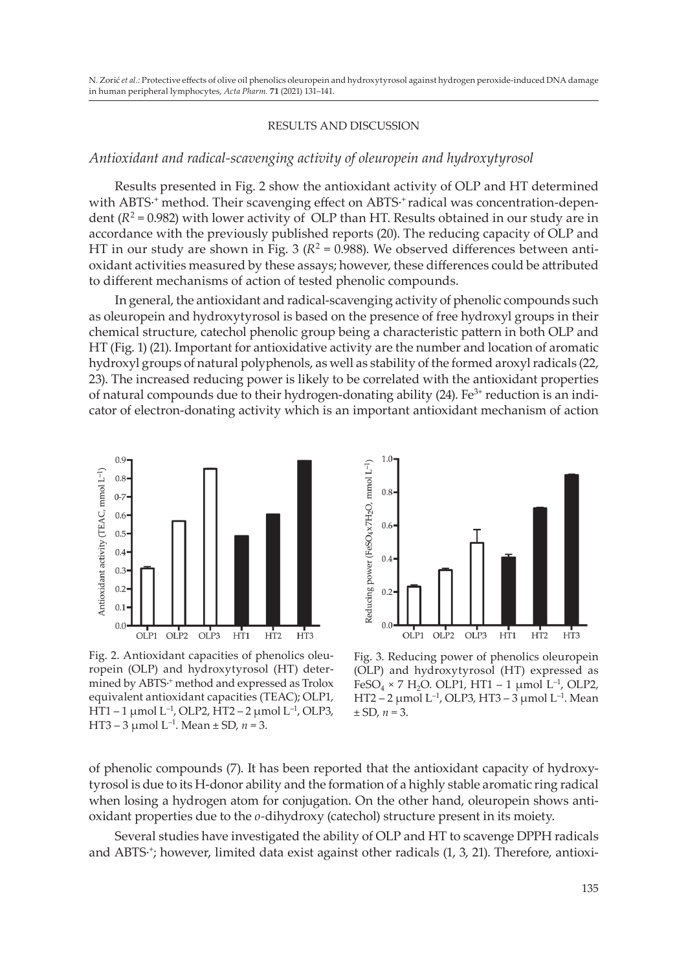### RESULTS AND DISCUSSION

### *Antioxidant and radical-scavenging activity of oleuropein and hydroxytyrosol*

Results presented in Fig. 2 show the antioxidant activity of OLP and HT determined with ABTS∙<sup>+</sup> method. Their scavenging effect on ABTS∙<sup>+</sup> radical was concentration-dependent ( $R^2$  = 0.982) with lower activity of OLP than HT. Results obtained in our study are in accordance with the previously published reports (20). The reducing capacity of OLP and HT in our study are shown in Fig. 3 ( $R^2 = 0.988$ ). We observed differences between antioxidant activities measured by these assays; however, these differences could be attributed to different mechanisms of action of tested phenolic compounds.

In general, the antioxidant and radical-scavenging activity of phenolic compounds such as oleuropein and hydroxytyrosol is based on the presence of free hydroxyl groups in their chemical structure, catechol phenolic group being a characteristic pattern in both OLP and HT (Fig. 1) (21). Important for antioxidative activity are the number and location of aromatic hydroxyl groups of natural polyphenols, as well as stability of the formed aroxyl radicals (22, 23). The increased reducing power is likely to be correlated with the antioxidant properties of natural compounds due to their hydrogen-donating ability  $(24)$ . Fe<sup>3+</sup> reduction is an indicator of electron-donating activity which is an important antioxidant mechanism of action



Fig. 2. Antioxidant capacities of phenolics oleuropein (OLP) and hydroxytyrosol (HT) determined by ABTS<sup>+</sup> method and expressed as Trolox equivalent antioxidant capacities (TEAC); OLP1, HT1 – 1 µmol L–1, OLP2, HT2 – 2 µmol L–1, OLP3, HT3 – 3  $\mu$ mol L<sup>-1</sup>. Mean ± SD, *n* = 3.



Fig. 3. Reducing power of phenolics oleuropein (OLP) and hydroxytyrosol (HT) expressed as FeSO<sub>4</sub> × 7 H<sub>2</sub>O. OLP1, HT1 – 1 µmol L<sup>-1</sup>, OLP2, HT2 – 2  $\mu$ mol L<sup>-1</sup>, OLP3, HT3 – 3  $\mu$ mol L<sup>-1</sup>. Mean  $\pm$  SD,  $n = 3$ .

of phenolic compounds (7). It has been reported that the antioxidant capacity of hydroxytyrosol is due to its H-donor ability and the formation of a highly stable aromatic ring radical when losing a hydrogen atom for conjugation. On the other hand, oleuropein shows antioxidant properties due to the *o-*dihydroxy (catechol) structure present in its moiety.

Several studies have investigated the ability of OLP and HT to scavenge DPPH radicals and ABTS∙<sup>+</sup>; however, limited data exist against other radicals (1, 3, 21). Therefore, antioxi-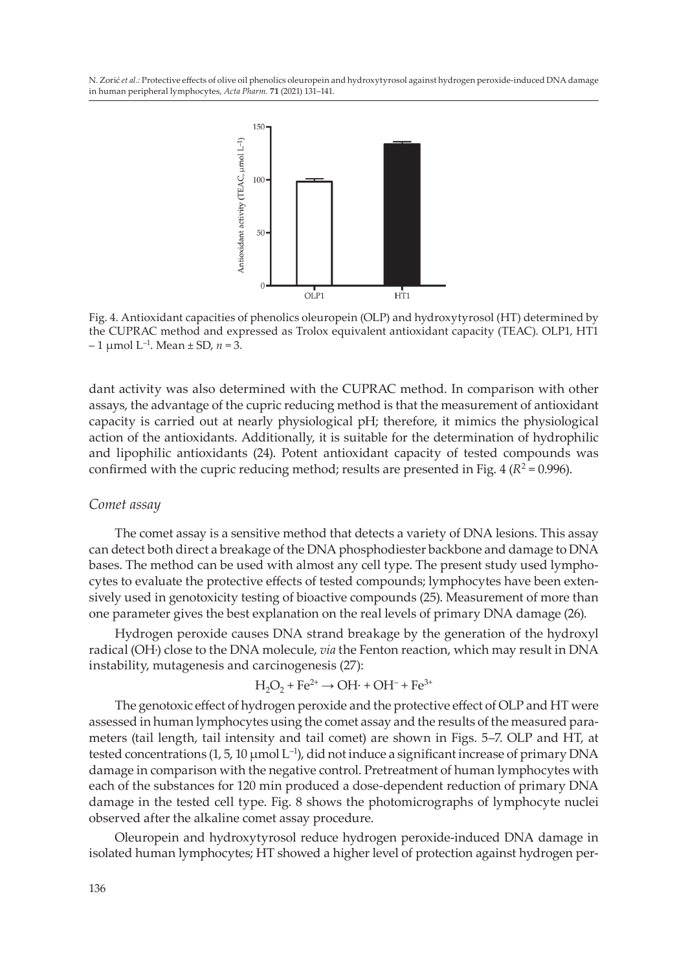

Fig. 4. Antioxidant capacities of phenolics oleuropein (OLP) and hydroxytyrosol (HT) determined by the CUPRAC method and expressed as Trolox equivalent antioxidant capacity (TEAC). OLP1, HT1  $-1$  µmol L<sup>-1</sup>. Mean ± SD,  $n = 3$ .

dant activity was also determined with the CUPRAC method. In comparison with other assays, the advantage of the cupric reducing method is that the measurement of antioxidant capacity is carried out at nearly physiological pH; therefore, it mimics the physiological action of the antioxidants. Additionally, it is suitable for the determination of hydrophilic and lipophilic antioxidants (24). Potent antioxidant capacity of tested compounds was confirmed with the cupric reducing method; results are presented in Fig.  $4 (R^2 = 0.996)$ .

#### *Comet assay*

The comet assay is a sensitive method that detects a variety of DNA lesions. This assay can detect both direct a breakage of the DNA phosphodiester backbone and damage to DNA bases. The method can be used with almost any cell type. The present study used lymphocytes to evaluate the protective effects of tested compounds; lymphocytes have been extensively used in genotoxicity testing of bioactive compounds (25). Measurement of more than one parameter gives the best explanation on the real levels of primary DNA damage (26).

Hydrogen peroxide causes DNA strand breakage by the generation of the hydroxyl radical (OH∙) close to the DNA molecule, *via* the Fenton reaction, which may result in DNA instability, mutagenesis and carcinogenesis (27):

$$
H_2O_2 + Fe^{2+} \rightarrow OH \cdot + OH^- + Fe^{3+}
$$

The genotoxic effect of hydrogen peroxide and the protective effect of OLP and HT were assessed in human lymphocytes using the comet assay and the results of the measured parameters (tail length, tail intensity and tail comet) are shown in Figs. 5–7. OLP and HT, at tested concentrations (1, 5, 10 µmol L<sup>-1</sup>), did not induce a significant increase of primary DNA damage in comparison with the negative control. Pretreatment of human lymphocytes with each of the substances for 120 min produced a dose-dependent reduction of primary DNA damage in the tested cell type. Fig. 8 shows the photomicrographs of lymphocyte nuclei observed after the alkaline comet assay procedure.

Oleuropein and hydroxytyrosol reduce hydrogen peroxide-induced DNA damage in isolated human lymphocytes; HT showed a higher level of protection against hydrogen per-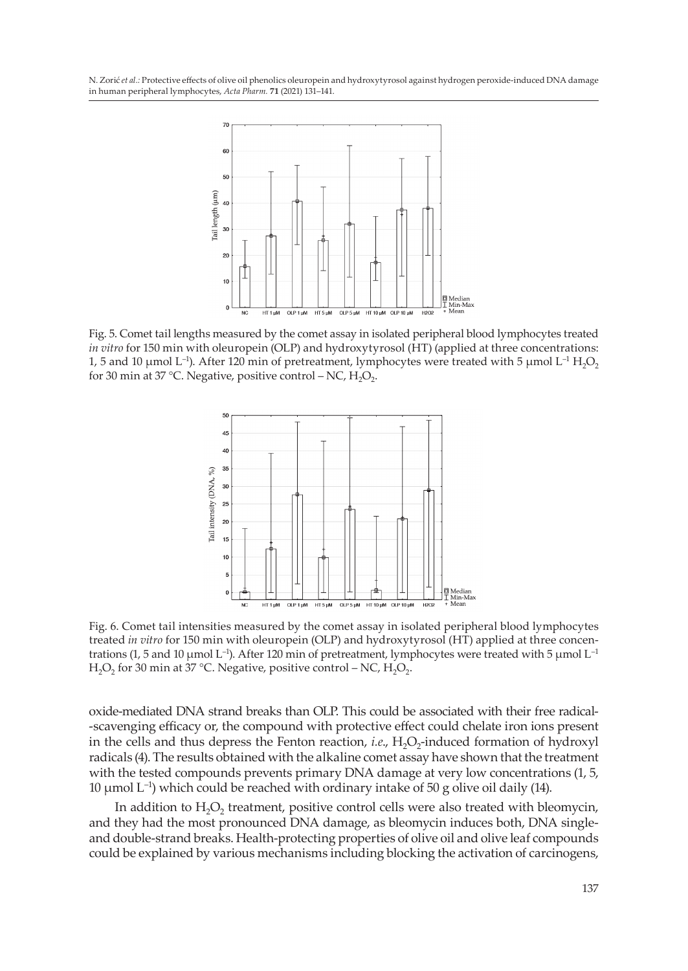

Fig. 5. Comet tail lengths measured by the comet assay in isolated peripheral blood lymphocytes treated *in vitro* for 150 min with oleuropein (OLP) and hydroxytyrosol (HT) (applied at three concentrations: 1, 5 and 10 µmol L<sup>-1</sup>). After 120 min of pretreatment, lymphocytes were treated with 5 µmol L<sup>-1</sup> H<sub>2</sub>O<sub>2</sub> for 30 min at 37 °C. Negative, positive control – NC,  $H_2O_2$ .



Fig. 6. Comet tail intensities measured by the comet assay in isolated peripheral blood lymphocytes treated *in vitro* for 150 min with oleuropein (OLP) and hydroxytyrosol (HT) applied at three concentrations (1, 5 and 10  $\mu$ mol L<sup>-1</sup>). After 120 min of pretreatment, lymphocytes were treated with 5  $\mu$ mol L<sup>-1</sup> H<sub>2</sub>O<sub>2</sub> for 30 min at 37 °C. Negative, positive control – NC, H<sub>2</sub>O<sub>2</sub>.

oxide-mediated DNA strand breaks than OLP. This could be associated with their free radical- -scavenging efficacy or, the compound with protective effect could chelate iron ions present in the cells and thus depress the Fenton reaction, *i.e.*, H<sub>2</sub>O<sub>2</sub>-induced formation of hydroxyl radicals (4). The results obtained with the alkaline comet assay have shown that the treatment with the tested compounds prevents primary DNA damage at very low concentrations (1, 5, 10  $\mu$ mol L<sup>-1</sup>) which could be reached with ordinary intake of 50 g olive oil daily (14).

In addition to  $H_2O_2$  treatment, positive control cells were also treated with bleomycin, and they had the most pronounced DNA damage, as bleomycin induces both, DNA singleand double-strand breaks. Health-protecting properties of olive oil and olive leaf compounds could be explained by various mechanisms including blocking the activation of carcinogens,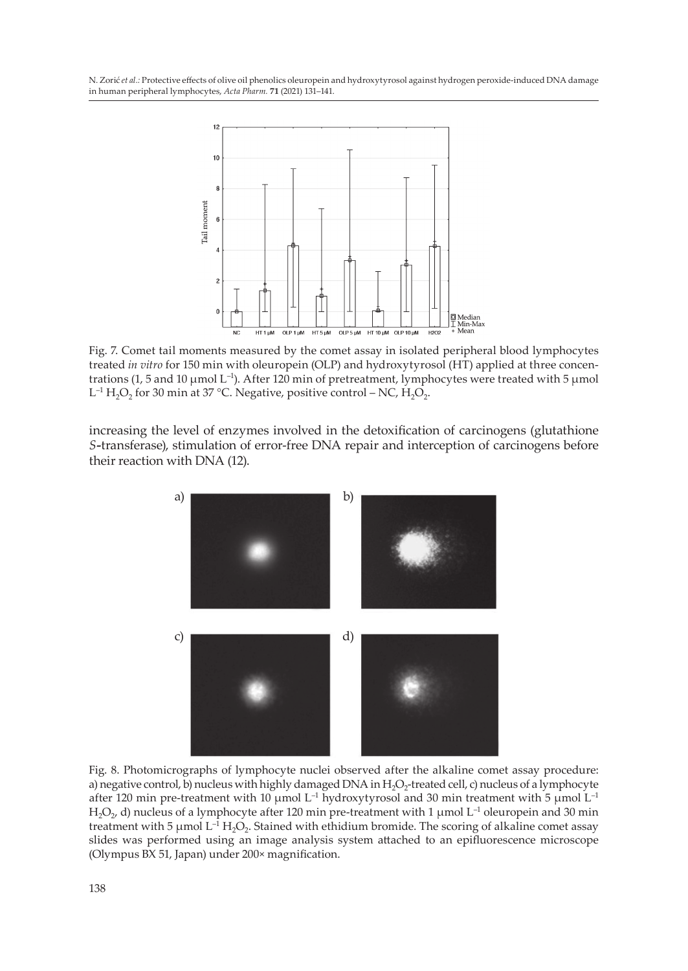

Fig. 7. Comet tail moments measured by the comet assay in isolated peripheral blood lymphocytes treated *in vitro* for 150 min with oleuropein (OLP) and hydroxytyrosol (HT) applied at three concentrations (1, 5 and 10 µmol L<sup>-1</sup>). After 120 min of pretreatment, lymphocytes were treated with 5 µmol L<sup>-1</sup> H<sub>2</sub>O<sub>2</sub> for 30 min at 37 °C. Negative, positive control – NC, H<sub>2</sub>O<sub>2</sub>.

increasing the level of enzymes involved in the detoxification of carcinogens (glutathione *S-*transferase), stimulation of error-free DNA repair and interception of carcinogens before their reaction with DNA (12).



Fig. 8. Photomicrographs of lymphocyte nuclei observed after the alkaline comet assay procedure: a) negative control, b) nucleus with highly damaged DNA in  $H_2O_2$ -treated cell, c) nucleus of a lymphocyte after 120 min pre-treatment with 10  $\mu$ mol L<sup>-1</sup> hydroxytyrosol and 30 min treatment with 5  $\mu$ mol L<sup>-1</sup> H<sub>2</sub>O<sub>2</sub>, d) nucleus of a lymphocyte after 120 min pre-treatment with 1 µmol L<sup>-1</sup> oleuropein and 30 min treatment with 5  $\mu$ mol L<sup>-1</sup> H<sub>2</sub>O<sub>2</sub>. Stained with ethidium bromide. The scoring of alkaline comet assay slides was performed using an image analysis system attached to an epifluorescence microscope (Olympus BX 51, Japan) under 200× magnification.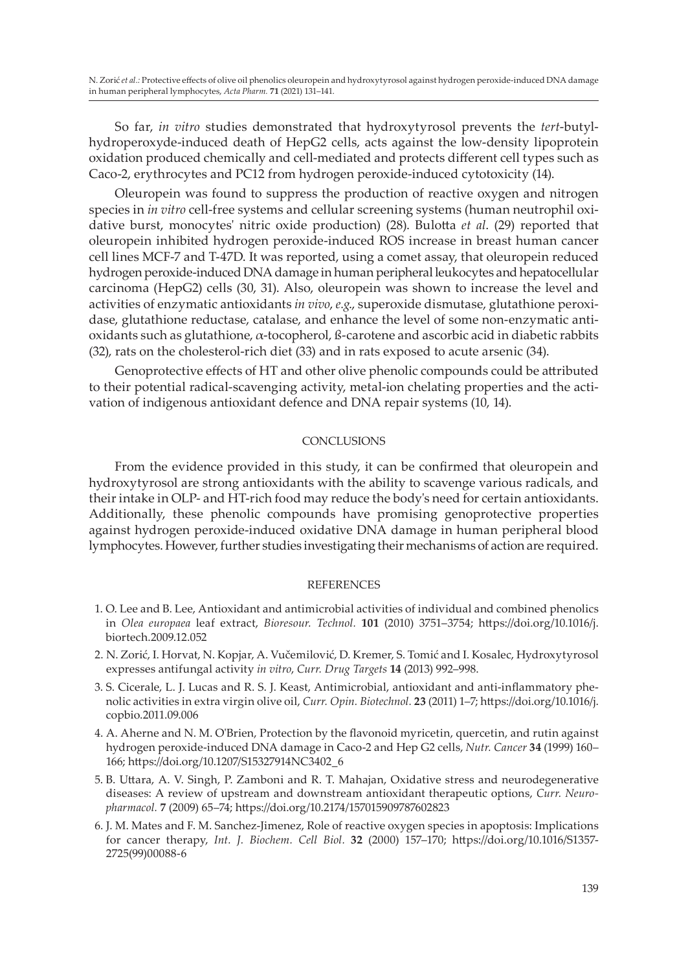So far, *in vitro* studies demonstrated that hydroxytyrosol prevents the *tert*-butylhydroperoxyde-induced death of HepG2 cells, acts against the low-density lipoprotein oxidation produced chemically and cell-mediated and protects different cell types such as Caco-2, erythrocytes and PC12 from hydrogen peroxide-induced cytotoxicity (14).

Oleuropein was found to suppress the production of reactive oxygen and nitrogen species in *in vitro* cell-free systems and cellular screening systems (human neutrophil oxidative burst, monocytes' nitric oxide production) (28). Bulotta *et al*. (29) reported that oleuropein inhibited hydrogen peroxide-induced ROS increase in breast human cancer cell lines MCF-7 and T-47D. It was reported, using a comet assay, that oleuropein reduced hydrogen peroxide-induced DNA damage in human peripheral leukocytes and hepatocellular carcinoma (HepG2) cells (30, 31). Also, oleuropein was shown to increase the level and activities of enzymatic antioxidants *in vivo*, *e.g*., superoxide dismutase, glutathione peroxidase, glutathione reductase, catalase, and enhance the level of some non-enzymatic antioxidants such as glutathione, α-tocopherol, ß-carotene and ascorbic acid in diabetic rabbits (32), rats on the cholesterol-rich diet (33) and in rats exposed to acute arsenic (34).

Genoprotective effects of HT and other olive phenolic compounds could be attributed to their potential radical-scavenging activity, metal-ion chelating properties and the activation of indigenous antioxidant defence and DNA repair systems (10, 14).

### **CONCLUSIONS**

From the evidence provided in this study, it can be confirmed that oleuropein and hydroxytyrosol are strong antioxidants with the ability to scavenge various radicals, and their intake in OLP- and HT-rich food may reduce the body's need for certain antioxidants. Additionally, these phenolic compounds have promising genoprotective properties against hydrogen peroxide-induced oxidative DNA damage in human peripheral blood lymphocytes. However, further studies investigating their mechanisms of action are required.

#### **REFERENCES**

- 1. O. Lee and B. Lee, Antioxidant and antimicrobial activities of individual and combined phenolics in *Olea europaea* leaf extract, *Bioresour. Technol.* **101** (2010) 3751–3754; https://doi.org/10.1016/j. biortech.2009.12.052
- 2. N. Zorić, I. Horvat, N. Kopjar, A. Vučemilović, D. Kremer, S. Tomić and I. Kosalec, Hydroxytyrosol expresses antifungal activity *in vitro*, *Curr. Drug Targets* **14** (2013) 992–998.
- 3. S. Cicerale, L. J. Lucas and R. S. J. Keast, Antimicrobial, antioxidant and anti-inflammatory phenolic activities in extra virgin olive oil, *Curr. Opin. Biotechnol.* **23** (2011) 1–7; https://doi.org/10.1016/j. copbio.2011.09.006
- 4. A. Aherne and N. M. O'Brien, Protection by the flavonoid myricetin, quercetin, and rutin against hydrogen peroxide-induced DNA damage in Caco-2 and Hep G2 cells, *Nutr. Cancer* **34** (1999) 160– 166; https://doi.org/10.1207/S15327914NC3402\_6
- 5. B. Uttara, A. V. Singh, P. Zamboni and R. T. Mahajan, Oxidative stress and neurodegenerative diseases: A review of upstream and downstream antioxidant therapeutic options, *Curr. Neuropharmacol.* **7** (2009) 65–74; https://doi.org/10.2174/157015909787602823
- 6. J. M. Mates and F. M. Sanchez-Jimenez, Role of reactive oxygen species in apoptosis: Implications for cancer therapy, *Int. J. Biochem. Cell Biol.* **32** (2000) 157–170; https://doi.org/10.1016/S1357- 2725(99)00088-6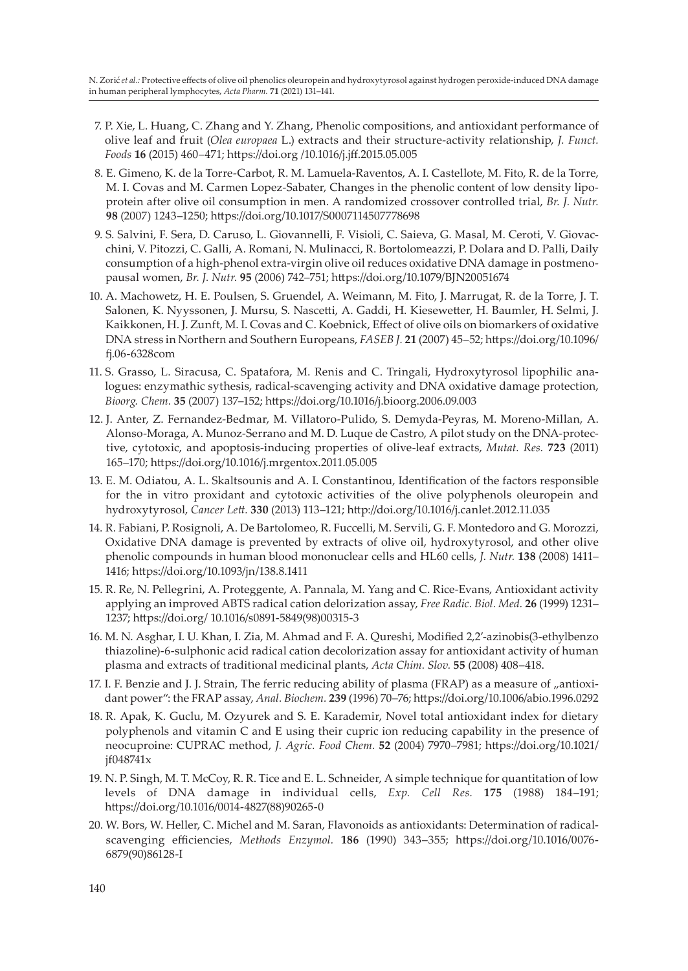- 7. P. Xie, L. Huang, C. Zhang and Y. Zhang, Phenolic compositions, and antioxidant performance of olive leaf and fruit (*Olea europaea* L.) extracts and their structure-activity relationship, *J. Funct. Foods* **16** (2015) 460–471; https://doi.org /10.1016/j.jff.2015.05.005
- 8. E. Gimeno, K. de la Torre-Carbot, R. M. Lamuela-Raventos, A. I. Castellote, M. Fito, R. de la Torre, M. I. Covas and M. Carmen Lopez-Sabater, Changes in the phenolic content of low density lipoprotein after olive oil consumption in men. A randomized crossover controlled trial, *Br. J. Nutr.*  **98** (2007) 1243–1250; https://doi.org/10.1017/S0007114507778698
- 9. S. Salvini, F. Sera, D. Caruso, L. Giovannelli, F. Visioli, C. Saieva, G. Masal, M. Ceroti, V. Giovacchini, V. Pitozzi, C. Galli, A. Romani, N. Mulinacci, R. Bortolomeazzi, P. Dolara and D. Palli, Daily consumption of a high-phenol extra-virgin olive oil reduces oxidative DNA damage in postmenopausal women, *Br. J. Nutr.* **95** (2006) 742–751; https://doi.org/10.1079/BJN20051674
- 10. A. Machowetz, H. E. Poulsen, S. Gruendel, A. Weimann, M. Fito, J. Marrugat, R. de la Torre, J. T. Salonen, K. Nyyssonen, J. Mursu, S. Nascetti, A. Gaddi, H. Kiesewetter, H. Baumler, H. Selmi, J. Kaikkonen, H. J. Zunft, M. I. Covas and C. Koebnick, Effect of olive oils on biomarkers of oxidative DNA stress in Northern and Southern Europeans, *FASEB J.* **21** (2007) 45–52; https://doi.org/10.1096/ fj.06-6328com
- 11. S. Grasso, L. Siracusa, C. Spatafora, M. Renis and C. Tringali, Hydroxytyrosol lipophilic analogues: enzymathic sythesis, radical-scavenging activity and DNA oxidative damage protection, *Bioorg. Chem.* **35** (2007) 137–152; https://doi.org/10.1016/j.bioorg.2006.09.003
- 12. J. Anter, Z. Fernandez-Bedmar, M. Villatoro-Pulido, S. Demyda-Peyras, M. Moreno-Millan, A. Alonso-Moraga, A. Munoz-Serrano and M. D. Luque de Castro, A pilot study on the DNA-protective, cytotoxic, and apoptosis-inducing properties of olive-leaf extracts, *Mutat. Res.* **723** (2011) 165–170; https://doi.org/10.1016/j.mrgentox.2011.05.005
- 13. E. M. Odiatou, A. L. Skaltsounis and A. I. Constantinou, Identification of the factors responsible for the in vitro proxidant and cytotoxic activities of the olive polyphenols oleuropein and hydroxytyrosol, *Cancer Lett.* **330** (2013) 113–121; http://doi.org/10.1016/j.canlet.2012.11.035
- 14. R. Fabiani, P. Rosignoli, A. De Bartolomeo, R. Fuccelli, M. Servili, G. F. Montedoro and G. Morozzi, Oxidative DNA damage is prevented by extracts of olive oil, hydroxytyrosol, and other olive phenolic compounds in human blood mononuclear cells and HL60 cells, *J. Nutr.* **138** (2008) 1411– 1416; https://doi.org/10.1093/jn/138.8.1411
- 15. R. Re, N. Pellegrini, A. Proteggente, A. Pannala, M. Yang and C. Rice-Evans, Antioxidant activity applying an improved ABTS radical cation delorization assay, *Free Radic. Biol. Med.* **26** (1999) 1231– 1237; https://doi.org/ 10.1016/s0891-5849(98)00315-3
- 16. M. N. Asghar, I. U. Khan, I. Zia, M. Ahmad and F. A. Qureshi, Modified 2,2'-azinobis(3-ethylbenzo thiazoline)-6-sulphonic acid radical cation decolorization assay for antioxidant activity of human plasma and extracts of traditional medicinal plants, *Acta Chim. Slov.* **55** (2008) 408–418.
- 17. I. F. Benzie and J. J. Strain, The ferric reducing ability of plasma (FRAP) as a measure of "antioxidant power": the FRAP assay, *Anal. Biochem.* **239** (1996) 70–76; https://doi.org/10.1006/abio.1996.0292
- 18. R. Apak, K. Guclu, M. Ozyurek and S. E. Karademir, Novel total antioxidant index for dietary polyphenols and vitamin C and E using their cupric ion reducing capability in the presence of neocuproine: CUPRAC method, *J. Agric. Food Chem.* **52** (2004) 7970–7981; https://doi.org/10.1021/ jf048741x
- 19. N. P. Singh, M. T. McCoy, R. R. Tice and E. L. Schneider, A simple technique for quantitation of low levels of DNA damage in individual cells, *Exp. Cell Res.* **175** (1988) 184–191; https://doi.org/10.1016/0014-4827(88)90265-0
- 20. W. Bors, W. Heller, C. Michel and M. Saran, Flavonoids as antioxidants: Determination of radicalscavenging efficiencies, *Methods Enzymol.* **186** (1990) 343–355; https://doi.org/10.1016/0076- 6879(90)86128-I